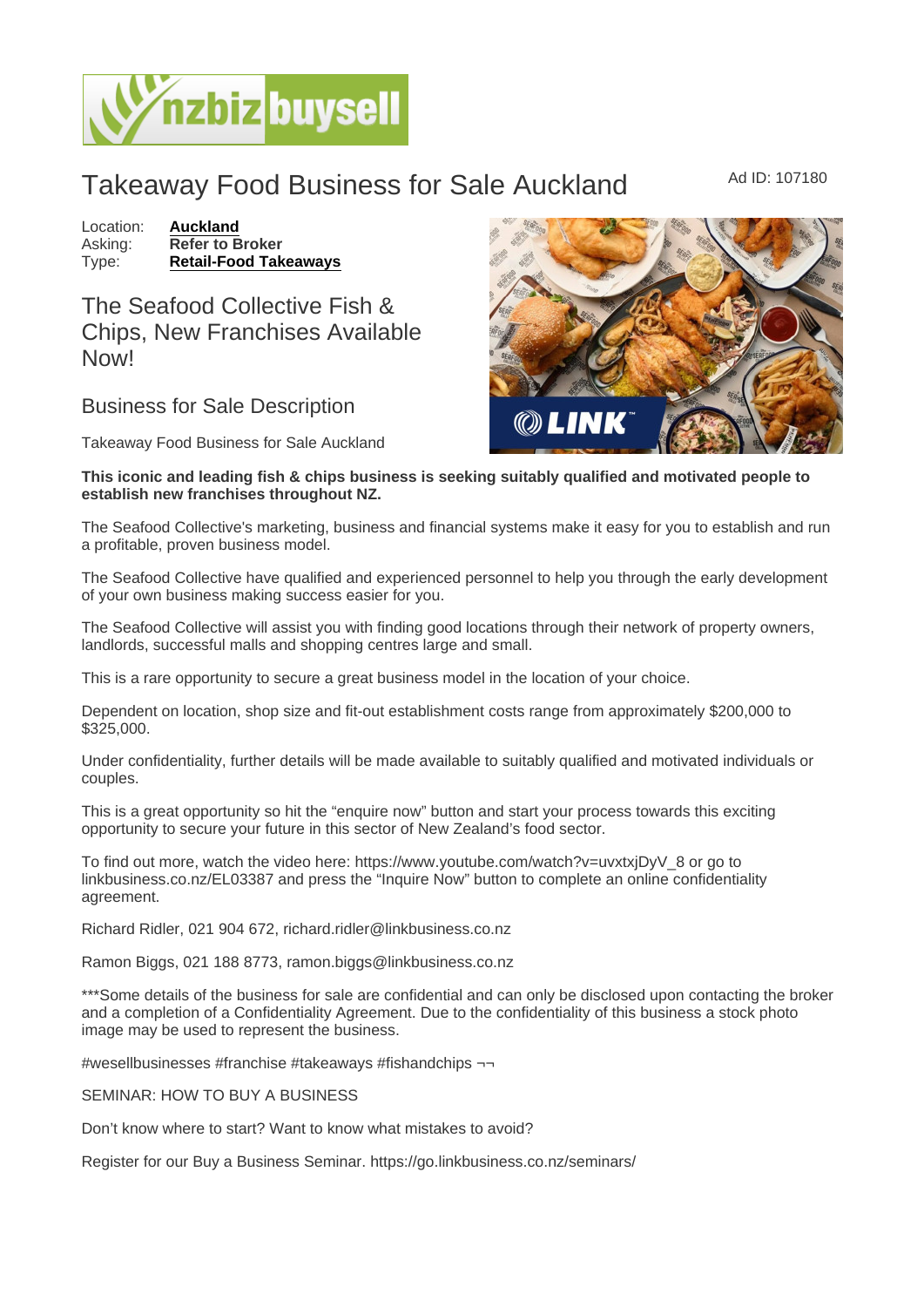## Takeaway Food Business for Sale Auckland Mad ID: 107180

Location: [Auckland](https://www.nzbizbuysell.co.nz/businesses-for-sale/location/Auckland) Asking: Refer to Broker<br>Type: Retail-Food Tak [Retail-Food Takeaways](https://www.nzbizbuysell.co.nz/businesses-for-sale/Retail-Food-Takeaways/New-Zealand)

The Seafood Collective Fish & Chips, New Franchises Available Now!

## Business for Sale Description

Takeaway Food Business for Sale Auckland

This iconic and leading fish & chips business is seeking suitably qualified and motivated people to establish new franchises throughout NZ.

The Seafood Collective's marketing, business and financial systems make it easy for you to establish and run a profitable, proven business model.

The Seafood Collective have qualified and experienced personnel to help you through the early development of your own business making success easier for you.

The Seafood Collective will assist you with finding good locations through their network of property owners, landlords, successful malls and shopping centres large and small.

This is a rare opportunity to secure a great business model in the location of your choice.

Dependent on location, shop size and fit-out establishment costs range from approximately \$200,000 to \$325,000.

Under confidentiality, further details will be made available to suitably qualified and motivated individuals or couples.

This is a great opportunity so hit the "enquire now" button and start your process towards this exciting opportunity to secure your future in this sector of New Zealand's food sector.

To find out more, watch the video here: https://www.youtube.com/watch?v=uvxtxjDyV\_8 or go to linkbusiness.co.nz/EL03387 and press the "Inquire Now" button to complete an online confidentiality agreement.

Richard Ridler, 021 904 672, richard.ridler@linkbusiness.co.nz

Ramon Biggs, 021 188 8773, ramon.biggs@linkbusiness.co.nz

\*\*\*Some details of the business for sale are confidential and can only be disclosed upon contacting the broker and a completion of a Confidentiality Agreement. Due to the confidentiality of this business a stock photo image may be used to represent the business.

#wesellbusinesses #franchise #takeaways #fishandchips ¬¬

SEMINAR: HOW TO BUY A BUSINESS

Don't know where to start? Want to know what mistakes to avoid?

Register for our Buy a Business Seminar. https://go.linkbusiness.co.nz/seminars/